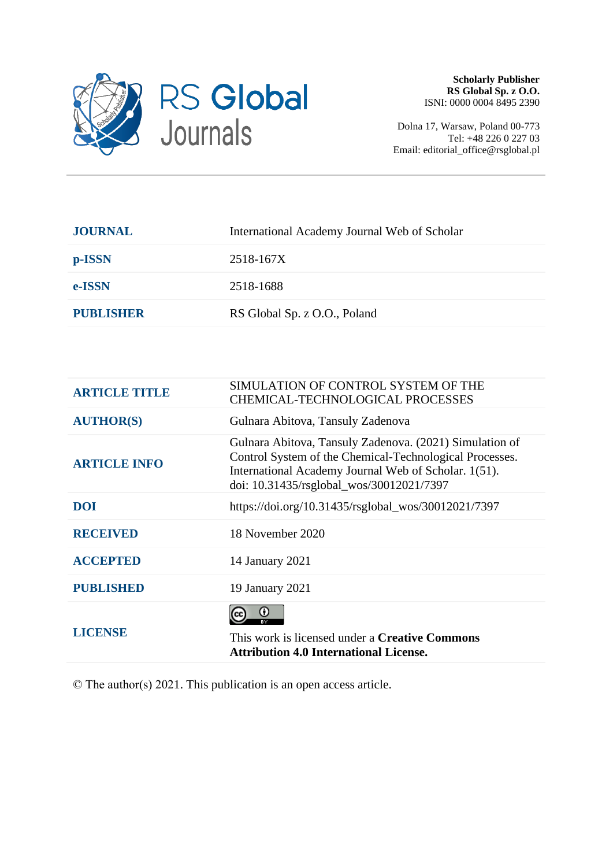

Dolna 17, Warsaw, Poland 00-773 Tel: +48 226 0 227 03 Email: editorial\_office@rsglobal.pl

| International Academy Journal Web of Scholar |
|----------------------------------------------|
| 2518-167X                                    |
| 2518-1688                                    |
| RS Global Sp. z O.O., Poland                 |
|                                              |

| <b>ARTICLE TITLE</b> | SIMULATION OF CONTROL SYSTEM OF THE<br><b>CHEMICAL-TECHNOLOGICAL PROCESSES</b>                                                                                                                                         |
|----------------------|------------------------------------------------------------------------------------------------------------------------------------------------------------------------------------------------------------------------|
| <b>AUTHOR(S)</b>     | Gulnara Abitova, Tansuly Zadenova                                                                                                                                                                                      |
| <b>ARTICLE INFO</b>  | Gulnara Abitova, Tansuly Zadenova. (2021) Simulation of<br>Control System of the Chemical-Technological Processes.<br>International Academy Journal Web of Scholar. 1(51).<br>doi: 10.31435/rsglobal_wos/30012021/7397 |
| <b>DOI</b>           | https://doi.org/10.31435/rsglobal_wos/30012021/7397                                                                                                                                                                    |
| <b>RECEIVED</b>      | 18 November 2020                                                                                                                                                                                                       |
| <b>ACCEPTED</b>      | 14 January 2021                                                                                                                                                                                                        |
| <b>PUBLISHED</b>     | 19 January 2021                                                                                                                                                                                                        |
| LICENSE              | $\mathbf{\Theta}$<br>This work is licensed under a <b>Creative Commons</b><br><b>Attribution 4.0 International License.</b>                                                                                            |

© The author(s) 2021. This publication is an open access article.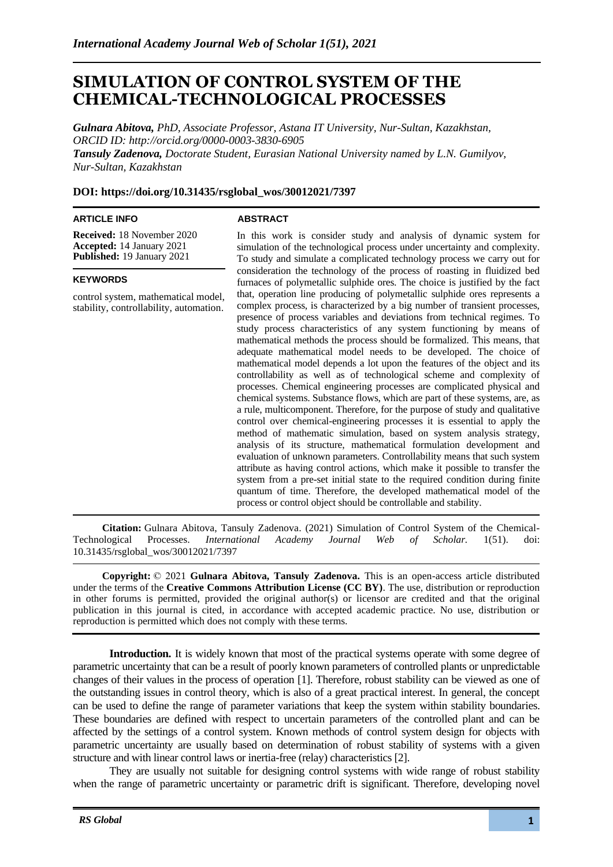# **SIMULATION OF CONTROL SYSTEM OF THE CHEMICAL-TECHNOLOGICAL PROCESSES**

*Gulnara Abitova, PhD, Associate Professor, Astana IT University, Nur-Sultan, Kazakhstan, ORCID ID: http://orcid.org/0000-0003-3830-6905 Tansuly Zadenova, Doctorate Student, Eurasian National University named by L.N. Gumilyov, Nur-Sultan, Kazakhstan*

# **DOI: https://doi.org/10.31435/rsglobal\_wos/30012021/7397**

### **ARTICLE INFO**

## **ABSTRACT**

**Received:** 18 November 2020 **Accepted:** 14 January 2021 **Published:** 19 January 2021

### **KEYWORDS**

control system, mathematical model, stability, controllability, automation.

In this work is consider study and analysis of dynamic system for simulation of the technological process under uncertainty and complexity. To study and simulate a complicated technology process we carry out for consideration the technology of the process of roasting in fluidized bed furnaces of polymetallic sulphide ores. The choice is justified by the fact that, operation line producing of polymetallic sulphide ores represents a complex process, is characterized by a big number of transient processes, presence of process variables and deviations from technical regimes. To study process characteristics of any system functioning by means of mathematical methods the process should be formalized. This means, that adequate mathematical model needs to be developed. The choice of mathematical model depends a lot upon the features of the object and its controllability as well as of technological scheme and complexity of processes. Chemical engineering processes are complicated physical and chemical systems. Substance flows, which are part of these systems, are, as a rule, multicomponent. Therefore, for the purpose of study and qualitative control over chemical-engineering processes it is essential to apply the method of mathematic simulation, based on system analysis strategy, analysis of its structure, mathematical formulation development and evaluation of unknown parameters. Controllability means that such system attribute as having control actions, which make it possible to transfer the system from a pre-set initial state to the required condition during finite quantum of time. Therefore, the developed mathematical model of the process or control object should be controllable and stability.

**Citation:** Gulnara Abitova, Tansuly Zadenova. (2021) Simulation of Control System of the Chemical-Technological Processes. *International Academy Journal Web of Scholar.* 1(51). doi: 10.31435/rsglobal\_wos/30012021/7397

**Copyright:** © 2021 **Gulnara Abitova, Tansuly Zadenova.** This is an open-access article distributed under the terms of the **Creative Commons Attribution License (CC BY)**. The use, distribution or reproduction in other forums is permitted, provided the original author(s) or licensor are credited and that the original publication in this journal is cited, in accordance with accepted academic practice. No use, distribution or reproduction is permitted which does not comply with these terms.

**Introduction.** It is widely known that most of the practical systems operate with some degree of parametric uncertainty that can be a result of poorly known parameters of controlled plants or unpredictable changes of their values in the process of operation [1]. Therefore, robust stability can be viewed as one of the outstanding issues in control theory, which is also of a great practical interest. In general, the concept can be used to define the range of parameter variations that keep the system within stability boundaries. These boundaries are defined with respect to uncertain parameters of the controlled plant and can be affected by the settings of a control system. Known methods of control system design for objects with parametric uncertainty are usually based on determination of robust stability of systems with a given structure and with linear control laws or inertia-free (relay) characteristics [2].

They are usually not suitable for designing control systems with wide range of robust stability when the range of parametric uncertainty or parametric drift is significant. Therefore, developing novel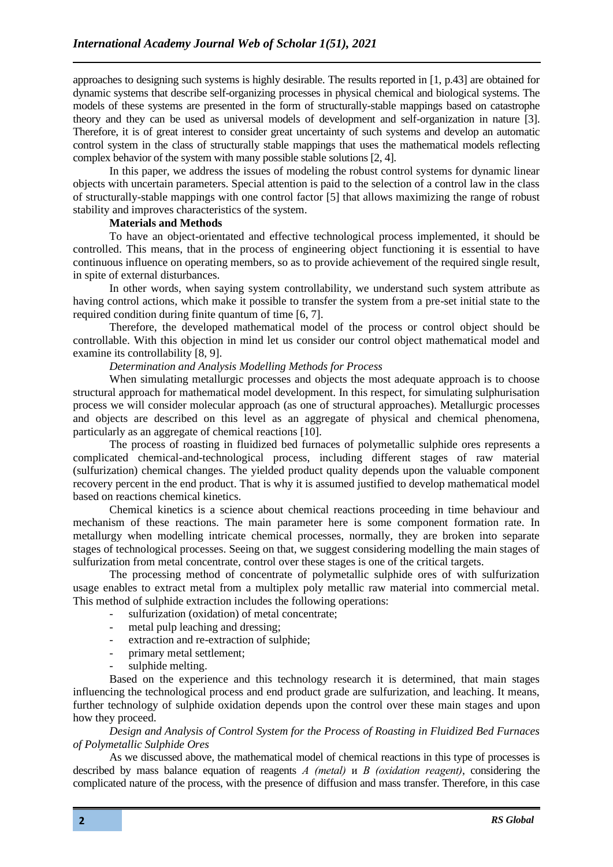approaches to designing such systems is highly desirable. The results reported in [1, p.43] are obtained for dynamic systems that describe self-organizing processes in physical chemical and biological systems. The models of these systems are presented in the form of structurally-stable mappings based on catastrophe theory and they can be used as universal models of development and self-organization in nature [3]. Therefore, it is of great interest to consider great uncertainty of such systems and develop an automatic control system in the class of structurally stable mappings that uses the mathematical models reflecting complex behavior of the system with many possible stable solutions [2, 4].

In this paper, we address the issues of modeling the robust control systems for dynamic linear objects with uncertain parameters. Special attention is paid to the selection of a control law in the class of structurally-stable mappings with one control factor [5] that allows maximizing the range of robust stability and improves characteristics of the system.

## **Materials and Methods**

To have an object-orientated and effective technological process implemented, it should be controlled. This means, that in the process of engineering object functioning it is essential to have continuous influence on operating members, so as to provide achievement of the required single result, in spite of external disturbances.

In other words, when saying system controllability, we understand such system attribute as having control actions, which make it possible to transfer the system from a pre-set initial state to the required condition during finite quantum of time [6, 7].

Therefore, the developed mathematical model of the process or control object should be controllable. With this objection in mind let us consider our control object mathematical model and examine its controllability [8, 9].

# *Determination and Analysis Modelling Methods for Process*

When simulating metallurgic processes and objects the most adequate approach is to choose structural approach for mathematical model development. In this respect, for simulating sulphurisation process we will consider molecular approach (as one of structural approaches). Metallurgic processes and objects are described on this level as an aggregate of physical and chemical phenomena, particularly as an aggregate of chemical reactions [10].

The process of roasting in fluidized bed furnaces of polymetallic sulphide ores represents a complicated chemical-and-technological process, including different stages of raw material (sulfurization) chemical changes. The yielded product quality depends upon the valuable component recovery percent in the end product. That is why it is assumed justified to develop mathematical model based on reactions chemical kinetics.

Chemical kinetics is a science about chemical reactions proceeding in time behaviour and mechanism of these reactions. The main parameter here is some component formation rate. In metallurgy when modelling intricate chemical processes, normally, they are broken into separate stages of technological processes. Seeing on that, we suggest considering modelling the main stages of sulfurization from metal concentrate, control over these stages is one of the critical targets.

The processing method of concentrate of polymetallic sulphide ores of with sulfurization usage enables to extract metal from a multiplex poly metallic raw material into commercial metal. This method of sulphide extraction includes the following operations:

- sulfurization (oxidation) of metal concentrate;
- metal pulp leaching and dressing:
- extraction and re-extraction of sulphide;
- primary metal settlement;
- sulphide melting.

Based on the experience and this technology research it is determined, that main stages influencing the technological process and end product grade are sulfurization, and leaching. It means, further technology of sulphide oxidation depends upon the control over these main stages and upon how they proceed.

# *Design and Analysis of Control System for the Process of Roasting in Fluidized Bed Furnaces of Polymetallic Sulphide Ores*

As we discussed above, the mathematical model of chemical reactions in this type of processes is described by mass balance equation of reagents *А (metal)* и *В (oxidation reagent)*, considering the complicated nature of the process, with the presence of diffusion and mass transfer. Therefore, in this case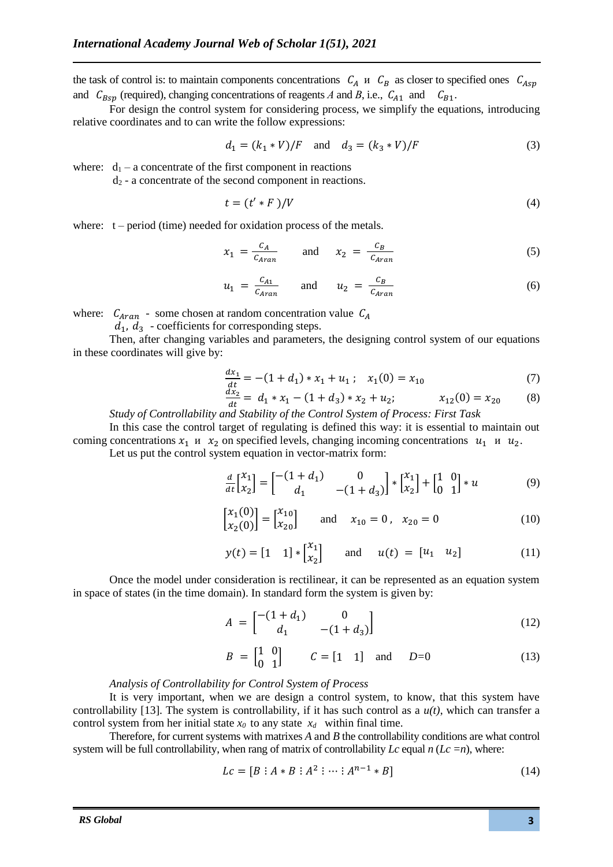the task of control is: to maintain components concentrations  $C_A$   $\mu$   $C_B$  as closer to specified ones  $C_{Asp}$ and  $C_{Bsp}$  (required), changing concentrations of reagents *A* and *B*, i.e.,  $C_{A1}$  and  $C_{B1}$ .

For design the control system for considering process, we simplify the equations, introducing relative coordinates and to can write the follow expressions:

$$
d_1 = (k_1 * V)/F \quad \text{and} \quad d_3 = (k_3 * V)/F \tag{3}
$$

where:  $d_1 - a$  concentrate of the first component in reactions

d<sup>2</sup> - a concentrate of the second component in reactions.

$$
t = (t' * F)/V \tag{4}
$$

where:  $t - period$  (time) needed for oxidation process of the metals.

$$
x_1 = \frac{c_A}{c_{Aran}} \quad \text{and} \quad x_2 = \frac{c_B}{c_{Aran}} \tag{5}
$$

$$
u_1 = \frac{c_{A1}}{c_{Aran}} \quad \text{and} \quad u_2 = \frac{c_B}{c_{Aran}} \tag{6}
$$

where:  $C_{Aran}$  - some chosen at random concentration value  $C_A$ 

 $d_1$ ,  $d_3$  - coefficients for corresponding steps.

Then, after changing variables and parameters, the designing control system of our equations in these coordinates will give by:

$$
\frac{dx_1}{dt} = -(1 + d_1) * x_1 + u_1; \quad x_1(0) = x_{10}
$$
\n(7)

$$
\frac{dx_2}{dt} = d_1 * x_1 - (1 + d_3) * x_2 + u_2; \qquad x_{12}(0) = x_{20}
$$
 (8)

*Study of Controllability and Stability of the Control System of Process: First Task*

In this case the control target of regulating is defined this way: it is essential to maintain out coming concentrations  $x_1$  u  $x_2$  on specified levels, changing incoming concentrations  $u_1$  u  $u_2$ .

Let us put the control system equation in vector-matrix form:

$$
\frac{d}{dt} \begin{bmatrix} x_1 \\ x_2 \end{bmatrix} = \begin{bmatrix} -(1+d_1) & 0 \\ d_1 & -(1+d_3) \end{bmatrix} * \begin{bmatrix} x_1 \\ x_2 \end{bmatrix} + \begin{bmatrix} 1 & 0 \\ 0 & 1 \end{bmatrix} * u \tag{9}
$$

$$
\begin{bmatrix} x_1(0) \\ x_2(0) \end{bmatrix} = \begin{bmatrix} x_{10} \\ x_{20} \end{bmatrix} \quad \text{and} \quad x_{10} = 0 \,, \quad x_{20} = 0 \tag{10}
$$

$$
y(t) = [1 \t1] * \begin{bmatrix} x_1 \\ x_2 \end{bmatrix}
$$
 and  $u(t) = [u_1 \t u_2]$  (11)

Once the model under consideration is rectilinear, it can be represented as an equation system in space of states (in the time domain). In standard form the system is given by:

$$
A = \begin{bmatrix} -(1+d_1) & 0 \\ d_1 & -(1+d_3) \end{bmatrix}
$$
 (12)

$$
B = \begin{bmatrix} 1 & 0 \\ 0 & 1 \end{bmatrix} \qquad C = \begin{bmatrix} 1 & 1 \end{bmatrix} \text{ and } D = 0 \tag{13}
$$

#### *Analysis of Controllability for Control System of Process*

It is very important, when we are design a control system, to know, that this system have controllability [13]. The system is controllability, if it has such control as a *u(t)*, which can transfer a control system from her initial state  $x_0$  to any state  $x_d$  within final time.

Therefore, for current systems with matrixes *A* and *B* the controllability conditions are what control system will be full controllability, when rang of matrix of controllability  $Lc$  equal  $n (Lc = n)$ , where:

$$
Lc = [B : A * B : A^2 : \dots : A^{n-1} * B]
$$
 (14)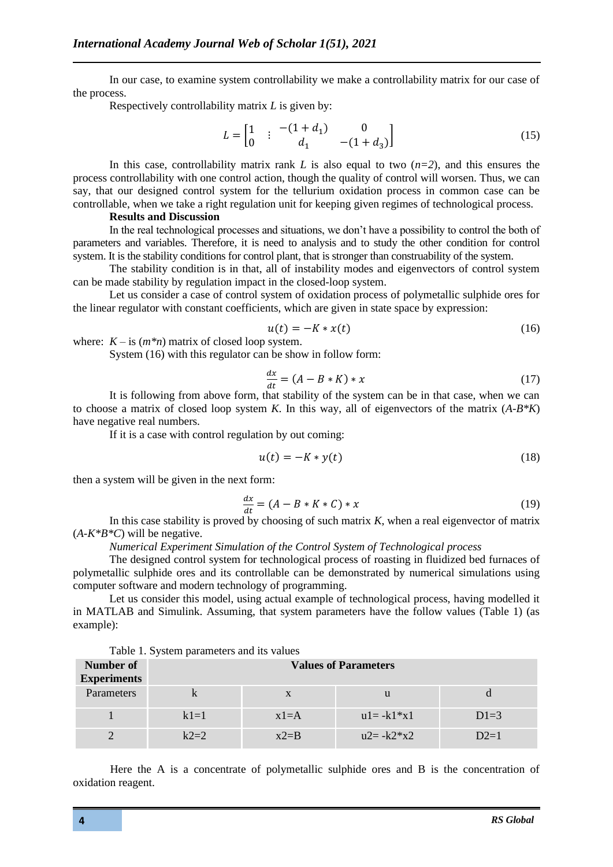In our case, to examine system controllability we make a controllability matrix for our case of the process.

Respectively controllability matrix *L* is given by:

$$
L = \begin{bmatrix} 1 & : & -(1+d_1) & 0 \\ 0 & 0 & d_1 & -(1+d_3) \end{bmatrix} \tag{15}
$$

In this case, controllability matrix rank *L* is also equal to two  $(n=2)$ , and this ensures the process controllability with one control action, though the quality of control will worsen. Thus, we can say, that our designed control system for the tellurium oxidation process in common case can be controllable, when we take a right regulation unit for keeping given regimes of technological process.

#### **Results and Discussion**

In the real technological processes and situations, we don't have a possibility to control the both of parameters and variables. Therefore, it is need to analysis and to study the other condition for control system. It is the stability conditions for control plant, that is stronger than construability of the system.

The stability condition is in that, all of instability modes and eigenvectors of control system can be made stability by regulation impact in the closed-loop system.

Let us consider a case of control system of oxidation process of polymetallic sulphide ores for the linear regulator with constant coefficients, which are given in state space by expression:

$$
u(t) = -K \cdot x(t) \tag{16}
$$

where:  $K - i s$  ( $m * n$ ) matrix of closed loop system.

System (16) with this regulator can be show in follow form:

$$
\frac{dx}{dt} = (A - B * K) * x \tag{17}
$$

It is following from above form, that stability of the system can be in that case, when we can to choose a matrix of closed loop system *K*. In this way, all of eigenvectors of the matrix (*A-B\*K*) have negative real numbers.

If it is a case with control regulation by out coming:

$$
u(t) = -K * y(t) \tag{18}
$$

then a system will be given in the next form:

$$
\frac{dx}{dt} = (A - B \ast K \ast C) \ast x \tag{19}
$$

In this case stability is proved by choosing of such matrix *K*, when a real eigenvector of matrix  $(A-K*B*C)$  will be negative.

*Numerical Experiment Simulation of the Control System of Technological process*

The designed control system for technological process of roasting in fluidized bed furnaces of polymetallic sulphide ores and its controllable can be demonstrated by numerical simulations using computer software and modern technology of programming.

Let us consider this model, using actual example of technological process, having modelled it in MATLAB and Simulink. Assuming, that system parameters have the follow values (Table 1) (as example):

| Number of<br><b>Experiments</b> | Lable 1. System parameters and its values<br><b>Values of Parameters</b> |          |               |        |  |
|---------------------------------|--------------------------------------------------------------------------|----------|---------------|--------|--|
| Parameters                      |                                                                          | X        | u             |        |  |
|                                 | $k1=1$                                                                   | $x1 = A$ | $u1 = -k1*x1$ | $D1=3$ |  |
|                                 | $k2=2$                                                                   | $x2=$ B  | $u2 = -k2*x2$ | $D2=1$ |  |

Table 1. System parameters and its values

Here the A is a concentrate of polymetallic sulphide ores and B is the concentration of oxidation reagent.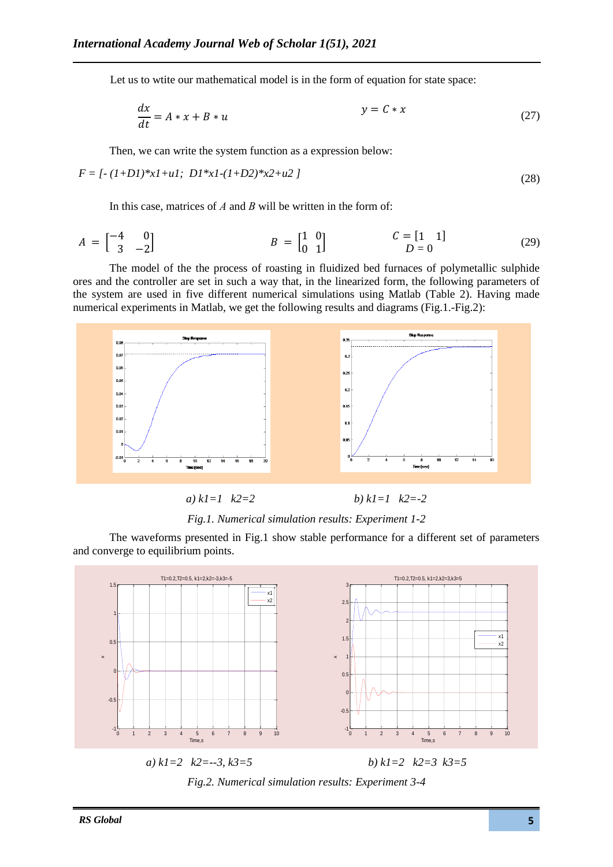Let us to wtite our mathematical model is in the form of equation for state space:

$$
\frac{dx}{dt} = A * x + B * u \qquad y = C * x \tag{27}
$$

Then, we can write the system function as a expression below:

$$
F = [- (1+D1)*x1+u1; D1*x1-(1+D2)*x2+u2]
$$
\n(28)

In this case, matrices of *A* and *B* will be written in the form of:

$$
A = \begin{bmatrix} -4 & 0 \\ 3 & -2 \end{bmatrix} \qquad B = \begin{bmatrix} 1 & 0 \\ 0 & 1 \end{bmatrix} \qquad C = \begin{bmatrix} 1 & 1 \end{bmatrix} \qquad (29)
$$

The model of the the process of roasting in fluidized bed furnaces of polymetallic sulphide ores and the controller are set in such a way that, in the linearized form, the following parameters of the system are used in five different numerical simulations using Matlab (Table 2). Having made numerical experiments in Matlab, we get the following results and diagrams (Fig.1.-Fig.2):



# *Fig.1. Numerical simulation results: Experiment 1-2*

The waveforms presented in Fig.1 show stable performance for a different set of parameters and converge to equilibrium points.



*Fig.2. Numerical simulation results: Experiment 3-4*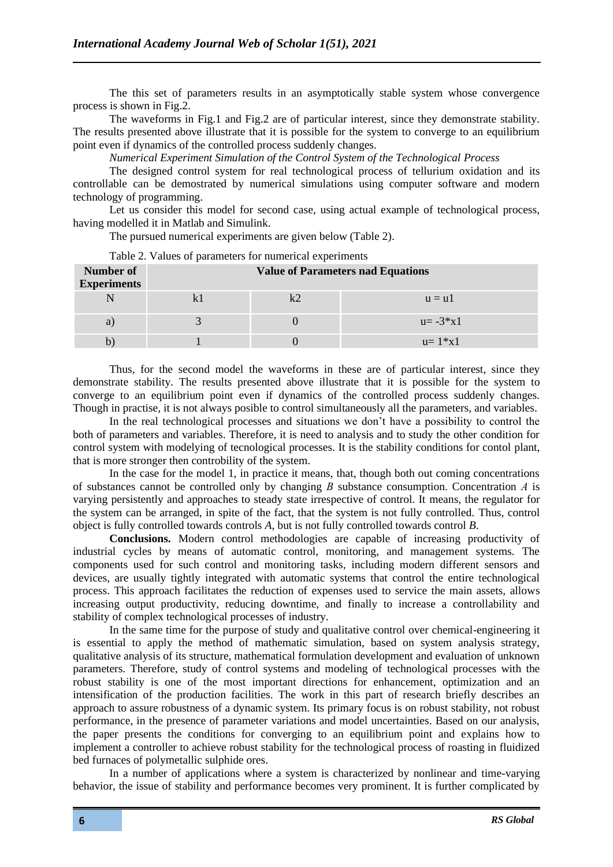The this set of parameters results in an asymptotically stable system whose convergence process is shown in Fig.2.

The waveforms in Fig.1 and Fig.2 are of particular interest, since they demonstrate stability. The results presented above illustrate that it is possible for the system to converge to an equilibrium point even if dynamics of the controlled process suddenly changes.

*Numerical Experiment Simulation of the Control System of the Technological Process*

The designed control system for real technological process of tellurium oxidation and its controllable can be demostrated by numerical simulations using computer software and modern technology of programming.

Let us consider this model for second case, using actual example of technological process, having modelled it in Matlab and Simulink.

The pursued numerical experiments are given below (Table 2).

| Number of<br><b>Experiments</b> | <b>Value of Parameters nad Equations</b> |  |               |  |  |
|---------------------------------|------------------------------------------|--|---------------|--|--|
|                                 |                                          |  | $u = u1$      |  |  |
|                                 |                                          |  | $u = -3*x1$   |  |  |
|                                 |                                          |  | $u = 1 * x 1$ |  |  |

Table 2. Values of parameters for numerical experiments

Thus, for the second model the waveforms in these are of particular interest, since they demonstrate stability. The results presented above illustrate that it is possible for the system to converge to an equilibrium point even if dynamics of the controlled process suddenly changes. Though in practise, it is not always posible to control simultaneously all the parameters, and variables.

In the real technological processes and situations we don't have a possibility to control the both of parameters and variables. Therefore, it is need to analysis and to study the other condition for control system with modelying of tecnological processes. It is the stability conditions for contol plant, that is more stronger then controbility of the system.

In the case for the model 1, in practice it means, that, though both out coming concentrations of substances cannot be controlled only by changing *В* substance consumption. Concentration *А* is varying persistently and approaches to steady state irrespective of control. It means, the regulator for the system can be arranged, in spite of the fact, that the system is not fully controlled. Thus, control object is fully controlled towards controls *A*, but is not fully controlled towards control *B*.

**Conclusions.** Modern control methodologies are capable of increasing productivity of industrial cycles by means of automatic control, monitoring, and management systems. The components used for such control and monitoring tasks, including modern different sensors and devices, are usually tightly integrated with automatic systems that control the entire technological process. This approach facilitates the reduction of expenses used to service the main assets, allows increasing output productivity, reducing downtime, and finally to increase a controllability and stability of complex technological processes of industry.

In the same time for the purpose of study and qualitative control over chemical-engineering it is essential to apply the method of mathematic simulation, based on system analysis strategy, qualitative analysis of its structure, mathematical formulation development and evaluation of unknown parameters. Therefore, study of control systems and modeling of technological processes with the robust stability is one of the most important directions for enhancement, optimization and an intensification of the production facilities. The work in this part of research briefly describes an approach to assure robustness of a dynamic system. Its primary focus is on robust stability, not robust performance, in the presence of parameter variations and model uncertainties. Based on our analysis, the paper presents the conditions for converging to an equilibrium point and explains how to implement a controller to achieve robust stability for the technological process of roasting in fluidized bed furnaces of polymetallic sulphide ores.

In a number of applications where a system is characterized by nonlinear and time-varying behavior, the issue of stability and performance becomes very prominent. It is further complicated by